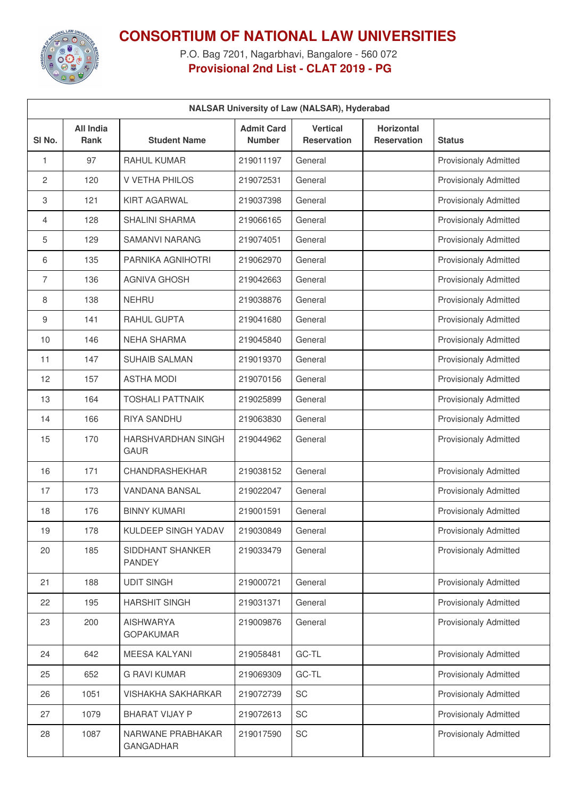

## **CONSORTIUM OF NATIONAL LAW UNIVERSITIES**

P.O. Bag 7201, Nagarbhavi, Bangalore - 560 072 **Provisional 2nd List - CLAT 2019 - PG**

| <b>NALSAR University of Law (NALSAR), Hyderabad</b> |                          |                                       |                                    |                                       |                                         |                              |
|-----------------------------------------------------|--------------------------|---------------------------------------|------------------------------------|---------------------------------------|-----------------------------------------|------------------------------|
| SI No.                                              | All India<br><b>Rank</b> | <b>Student Name</b>                   | <b>Admit Card</b><br><b>Number</b> | <b>Vertical</b><br><b>Reservation</b> | <b>Horizontal</b><br><b>Reservation</b> | <b>Status</b>                |
| 1                                                   | 97                       | <b>RAHUL KUMAR</b>                    | 219011197                          | General                               |                                         | <b>Provisionaly Admitted</b> |
| 2                                                   | 120                      | V VETHA PHILOS                        | 219072531                          | General                               |                                         | <b>Provisionaly Admitted</b> |
| 3                                                   | 121                      | <b>KIRT AGARWAL</b>                   | 219037398                          | General                               |                                         | <b>Provisionaly Admitted</b> |
| $\overline{4}$                                      | 128                      | <b>SHALINI SHARMA</b>                 | 219066165                          | General                               |                                         | <b>Provisionaly Admitted</b> |
| 5                                                   | 129                      | <b>SAMANVI NARANG</b>                 | 219074051                          | General                               |                                         | <b>Provisionaly Admitted</b> |
| 6                                                   | 135                      | PARNIKA AGNIHOTRI                     | 219062970                          | General                               |                                         | <b>Provisionaly Admitted</b> |
| 7                                                   | 136                      | <b>AGNIVA GHOSH</b>                   | 219042663                          | General                               |                                         | <b>Provisionaly Admitted</b> |
| 8                                                   | 138                      | <b>NEHRU</b>                          | 219038876                          | General                               |                                         | <b>Provisionaly Admitted</b> |
| 9                                                   | 141                      | RAHUL GUPTA                           | 219041680                          | General                               |                                         | <b>Provisionaly Admitted</b> |
| 10                                                  | 146                      | <b>NEHA SHARMA</b>                    | 219045840                          | General                               |                                         | <b>Provisionaly Admitted</b> |
| 11                                                  | 147                      | <b>SUHAIB SALMAN</b>                  | 219019370                          | General                               |                                         | <b>Provisionaly Admitted</b> |
| 12                                                  | 157                      | <b>ASTHA MODI</b>                     | 219070156                          | General                               |                                         | <b>Provisionaly Admitted</b> |
| 13                                                  | 164                      | <b>TOSHALI PATTNAIK</b>               | 219025899                          | General                               |                                         | <b>Provisionaly Admitted</b> |
| 14                                                  | 166                      | <b>RIYA SANDHU</b>                    | 219063830                          | General                               |                                         | <b>Provisionaly Admitted</b> |
| 15                                                  | 170                      | HARSHVARDHAN SINGH<br><b>GAUR</b>     | 219044962                          | General                               |                                         | <b>Provisionaly Admitted</b> |
| 16                                                  | 171                      | CHANDRASHEKHAR                        | 219038152                          | General                               |                                         | <b>Provisionaly Admitted</b> |
| 17                                                  | 173                      | <b>VANDANA BANSAL</b>                 | 219022047                          | General                               |                                         | <b>Provisionaly Admitted</b> |
| 18                                                  | 176                      | <b>BINNY KUMARI</b>                   | 219001591                          | General                               |                                         | <b>Provisionaly Admitted</b> |
| 19                                                  | 178                      | KULDEEP SINGH YADAV                   | 219030849                          | General                               |                                         | <b>Provisionaly Admitted</b> |
| 20                                                  | 185                      | SIDDHANT SHANKER<br><b>PANDEY</b>     | 219033479                          | General                               |                                         | <b>Provisionaly Admitted</b> |
| 21                                                  | 188                      | <b>UDIT SINGH</b>                     | 219000721                          | General                               |                                         | Provisionaly Admitted        |
| 22                                                  | 195                      | <b>HARSHIT SINGH</b>                  | 219031371                          | General                               |                                         | Provisionaly Admitted        |
| 23                                                  | 200                      | <b>AISHWARYA</b><br><b>GOPAKUMAR</b>  | 219009876                          | General                               |                                         | <b>Provisionaly Admitted</b> |
| 24                                                  | 642                      | <b>MEESA KALYANI</b>                  | 219058481                          | GC-TL                                 |                                         | <b>Provisionaly Admitted</b> |
| 25                                                  | 652                      | <b>G RAVI KUMAR</b>                   | 219069309                          | GC-TL                                 |                                         | Provisionaly Admitted        |
| 26                                                  | 1051                     | <b>VISHAKHA SAKHARKAR</b>             | 219072739                          | SC                                    |                                         | <b>Provisionaly Admitted</b> |
| 27                                                  | 1079                     | <b>BHARAT VIJAY P</b>                 | 219072613                          | SC                                    |                                         | Provisionaly Admitted        |
| 28                                                  | 1087                     | NARWANE PRABHAKAR<br><b>GANGADHAR</b> | 219017590                          | SC                                    |                                         | <b>Provisionaly Admitted</b> |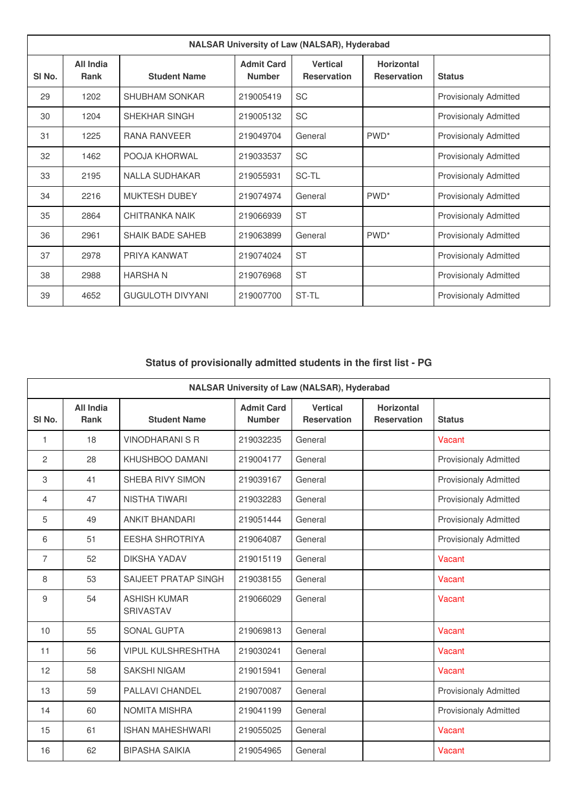| <b>NALSAR University of Law (NALSAR), Hyderabad</b> |                   |                         |                                    |                                       |                                         |                              |  |
|-----------------------------------------------------|-------------------|-------------------------|------------------------------------|---------------------------------------|-----------------------------------------|------------------------------|--|
| SI <sub>No.</sub>                                   | All India<br>Rank | <b>Student Name</b>     | <b>Admit Card</b><br><b>Number</b> | <b>Vertical</b><br><b>Reservation</b> | <b>Horizontal</b><br><b>Reservation</b> | <b>Status</b>                |  |
| 29                                                  | 1202              | <b>SHUBHAM SONKAR</b>   | 219005419                          | <b>SC</b>                             |                                         | <b>Provisionaly Admitted</b> |  |
| 30                                                  | 1204              | SHEKHAR SINGH           | 219005132                          | <b>SC</b>                             |                                         | <b>Provisionaly Admitted</b> |  |
| 31                                                  | 1225              | <b>RANA RANVEER</b>     | 219049704                          | General                               | PWD <sup>*</sup>                        | <b>Provisionaly Admitted</b> |  |
| 32                                                  | 1462              | POOJA KHORWAL           | 219033537                          | <b>SC</b>                             |                                         | <b>Provisionaly Admitted</b> |  |
| 33                                                  | 2195              | <b>NALLA SUDHAKAR</b>   | 219055931                          | SC-TL                                 |                                         | <b>Provisionaly Admitted</b> |  |
| 34                                                  | 2216              | MUKTESH DUBEY           | 219074974                          | General                               | PWD <sup>*</sup>                        | <b>Provisionaly Admitted</b> |  |
| 35                                                  | 2864              | CHITRANKA NAIK          | 219066939                          | <b>ST</b>                             |                                         | <b>Provisionaly Admitted</b> |  |
| 36                                                  | 2961              | <b>SHAIK BADE SAHEB</b> | 219063899                          | General                               | PWD <sup>*</sup>                        | <b>Provisionaly Admitted</b> |  |
| 37                                                  | 2978              | PRIYA KANWAT            | 219074024                          | <b>ST</b>                             |                                         | <b>Provisionaly Admitted</b> |  |
| 38                                                  | 2988              | <b>HARSHAN</b>          | 219076968                          | <b>ST</b>                             |                                         | <b>Provisionaly Admitted</b> |  |
| 39                                                  | 4652              | <b>GUGULOTH DIVYANI</b> | 219007700                          | ST-TL                                 |                                         | <b>Provisionaly Admitted</b> |  |

## **Status of provisionally admitted students in the first list - PG**

| <b>NALSAR University of Law (NALSAR), Hyderabad</b> |                   |                                  |                                    |                                       |                                         |                              |
|-----------------------------------------------------|-------------------|----------------------------------|------------------------------------|---------------------------------------|-----------------------------------------|------------------------------|
| SI No.                                              | All India<br>Rank | <b>Student Name</b>              | <b>Admit Card</b><br><b>Number</b> | <b>Vertical</b><br><b>Reservation</b> | <b>Horizontal</b><br><b>Reservation</b> | <b>Status</b>                |
| 1                                                   | 18                | <b>VINODHARANI S R</b>           | 219032235                          | General                               |                                         | Vacant                       |
| 2                                                   | 28                | KHUSHBOO DAMANI                  | 219004177                          | General                               |                                         | <b>Provisionaly Admitted</b> |
| 3                                                   | 41                | SHEBA RIVY SIMON                 | 219039167                          | General                               |                                         | <b>Provisionaly Admitted</b> |
| 4                                                   | 47                | <b>NISTHA TIWARI</b>             | 219032283                          | General                               |                                         | <b>Provisionaly Admitted</b> |
| 5                                                   | 49                | <b>ANKIT BHANDARI</b>            | 219051444                          | General                               |                                         | <b>Provisionaly Admitted</b> |
| 6                                                   | 51                | <b>EESHA SHROTRIYA</b>           | 219064087                          | General                               |                                         | <b>Provisionaly Admitted</b> |
| 7                                                   | 52                | <b>DIKSHA YADAV</b>              | 219015119                          | General                               |                                         | Vacant                       |
| 8                                                   | 53                | SAIJEET PRATAP SINGH             | 219038155                          | General                               |                                         | Vacant                       |
| 9                                                   | 54                | <b>ASHISH KUMAR</b><br>SRIVASTAV | 219066029                          | General                               |                                         | Vacant                       |
| 10                                                  | 55                | <b>SONAL GUPTA</b>               | 219069813                          | General                               |                                         | Vacant                       |
| 11                                                  | 56                | <b>VIPUL KULSHRESHTHA</b>        | 219030241                          | General                               |                                         | Vacant                       |
| 12                                                  | 58                | <b>SAKSHI NIGAM</b>              | 219015941                          | General                               |                                         | Vacant                       |
| 13                                                  | 59                | PALLAVI CHANDEL                  | 219070087                          | General                               |                                         | <b>Provisionaly Admitted</b> |
| 14                                                  | 60                | <b>NOMITA MISHRA</b>             | 219041199                          | General                               |                                         | <b>Provisionaly Admitted</b> |
| 15                                                  | 61                | <b>ISHAN MAHESHWARI</b>          | 219055025                          | General                               |                                         | Vacant                       |
| 16                                                  | 62                | <b>BIPASHA SAIKIA</b>            | 219054965                          | General                               |                                         | Vacant                       |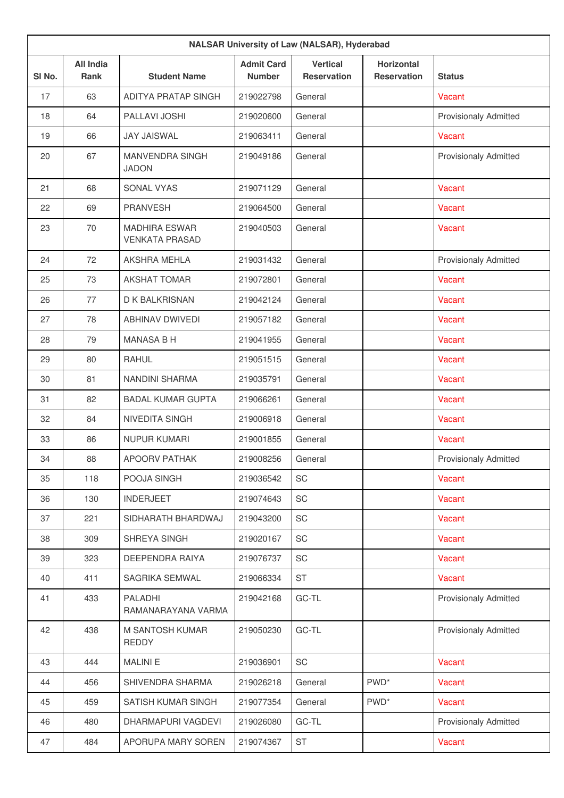| <b>NALSAR University of Law (NALSAR), Hyderabad</b> |                          |                                               |                                    |                                       |                                         |                              |
|-----------------------------------------------------|--------------------------|-----------------------------------------------|------------------------------------|---------------------------------------|-----------------------------------------|------------------------------|
| SI No.                                              | <b>All India</b><br>Rank | <b>Student Name</b>                           | <b>Admit Card</b><br><b>Number</b> | <b>Vertical</b><br><b>Reservation</b> | <b>Horizontal</b><br><b>Reservation</b> | <b>Status</b>                |
| 17                                                  | 63                       | ADITYA PRATAP SINGH                           | 219022798                          | General                               |                                         | Vacant                       |
| 18                                                  | 64                       | <b>PALLAVI JOSHI</b>                          | 219020600                          | General                               |                                         | <b>Provisionaly Admitted</b> |
| 19                                                  | 66                       | <b>JAY JAISWAL</b>                            | 219063411                          | General                               |                                         | Vacant                       |
| 20                                                  | 67                       | MANVENDRA SINGH<br><b>JADON</b>               | 219049186                          | General                               |                                         | <b>Provisionaly Admitted</b> |
| 21                                                  | 68                       | SONAL VYAS                                    | 219071129                          | General                               |                                         | Vacant                       |
| 22                                                  | 69                       | <b>PRANVESH</b>                               | 219064500                          | General                               |                                         | Vacant                       |
| 23                                                  | 70                       | <b>MADHIRA ESWAR</b><br><b>VENKATA PRASAD</b> | 219040503                          | General                               |                                         | Vacant                       |
| 24                                                  | 72                       | AKSHRA MEHLA                                  | 219031432                          | General                               |                                         | <b>Provisionaly Admitted</b> |
| 25                                                  | 73                       | <b>AKSHAT TOMAR</b>                           | 219072801                          | General                               |                                         | Vacant                       |
| 26                                                  | 77                       | D K BALKRISNAN                                | 219042124                          | General                               |                                         | Vacant                       |
| 27                                                  | 78                       | <b>ABHINAV DWIVEDI</b>                        | 219057182                          | General                               |                                         | Vacant                       |
| 28                                                  | 79                       | <b>MANASA B H</b>                             | 219041955                          | General                               |                                         | Vacant                       |
| 29                                                  | 80                       | RAHUL                                         | 219051515                          | General                               |                                         | Vacant                       |
| 30                                                  | 81                       | NANDINI SHARMA                                | 219035791                          | General                               |                                         | Vacant                       |
| 31                                                  | 82                       | <b>BADAL KUMAR GUPTA</b>                      | 219066261                          | General                               |                                         | Vacant                       |
| 32                                                  | 84                       | NIVEDITA SINGH                                | 219006918                          | General                               |                                         | Vacant                       |
| 33                                                  | 86                       | <b>NUPUR KUMARI</b>                           | 219001855                          | General                               |                                         | Vacant                       |
| 34                                                  | 88                       | APOORV PATHAK                                 | 219008256                          | General                               |                                         | Provisionaly Admitted        |
| 35                                                  | 118                      | POOJA SINGH                                   | 219036542                          | SC                                    |                                         | Vacant                       |
| 36                                                  | 130                      | <b>INDERJEET</b>                              | 219074643                          | SC                                    |                                         | Vacant                       |
| 37                                                  | 221                      | SIDHARATH BHARDWAJ                            | 219043200                          | SC                                    |                                         | Vacant                       |
| 38                                                  | 309                      | SHREYA SINGH                                  | 219020167                          | SC                                    |                                         | Vacant                       |
| 39                                                  | 323                      | DEEPENDRA RAIYA                               | 219076737                          | SC                                    |                                         | Vacant                       |
| 40                                                  | 411                      | SAGRIKA SEMWAL                                | 219066334                          | <b>ST</b>                             |                                         | Vacant                       |
| 41                                                  | 433                      | PALADHI<br>RAMANARAYANA VARMA                 | 219042168                          | GC-TL                                 |                                         | <b>Provisionaly Admitted</b> |
| 42                                                  | 438                      | M SANTOSH KUMAR<br>REDDY                      | 219050230                          | GC-TL                                 |                                         | <b>Provisionaly Admitted</b> |
| 43                                                  | 444                      | <b>MALINIE</b>                                | 219036901                          | SC                                    |                                         | Vacant                       |
| 44                                                  | 456                      | SHIVENDRA SHARMA                              | 219026218                          | General                               | PWD <sup>*</sup>                        | Vacant                       |
| 45                                                  | 459                      | SATISH KUMAR SINGH                            | 219077354                          | General                               | PWD <sup>*</sup>                        | Vacant                       |
| 46                                                  | 480                      | DHARMAPURI VAGDEVI                            | 219026080                          | GC-TL                                 |                                         | <b>Provisionaly Admitted</b> |
| 47                                                  | 484                      | APORUPA MARY SOREN                            | 219074367                          | <b>ST</b>                             |                                         | Vacant                       |